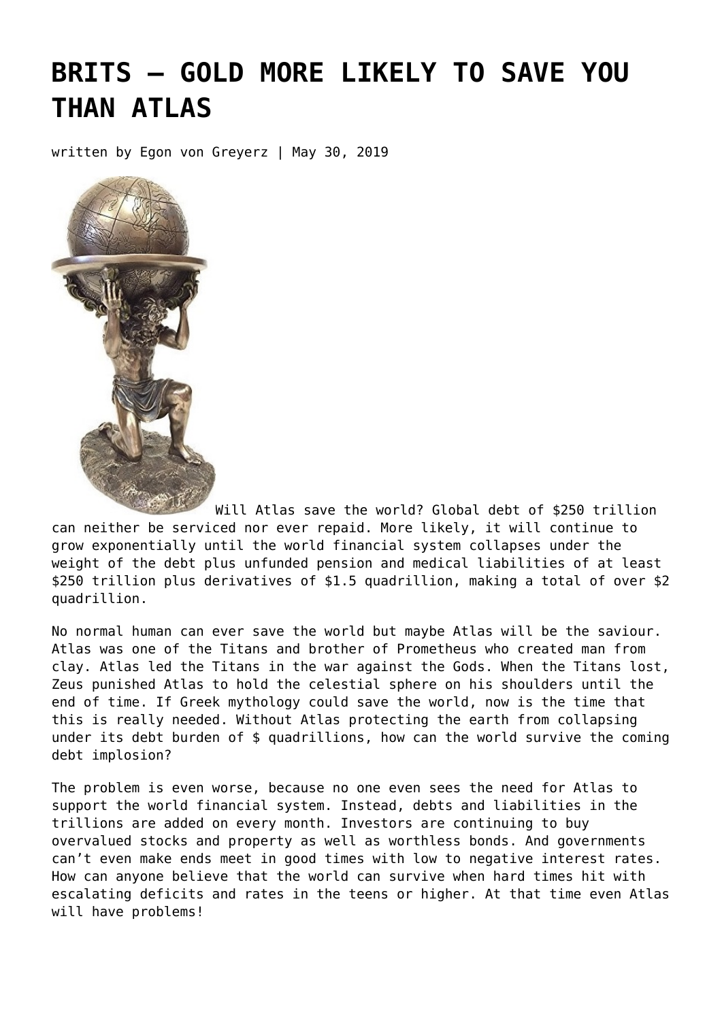# **[BRITS – GOLD MORE LIKELY TO SAVE YOU](https://goldswitzerland.com/brits-gold-more-likely-to-save-you-than-atlas/) [THAN ATLAS](https://goldswitzerland.com/brits-gold-more-likely-to-save-you-than-atlas/)**

written by Egon von Greyerz | May 30, 2019



Will Atlas save the world? Global debt of \$250 trillion can neither be serviced nor ever repaid. More likely, it will continue to grow exponentially until the world financial system collapses under the weight of the debt plus unfunded pension and medical liabilities of at least \$250 trillion plus derivatives of \$1.5 quadrillion, making a total of over \$2 quadrillion.

No normal human can ever save the world but maybe Atlas will be the saviour. Atlas was one of the Titans and brother of Prometheus who created man from clay. Atlas led the Titans in the war against the Gods. When the Titans lost, Zeus punished Atlas to hold the celestial sphere on his shoulders until the end of time. If Greek mythology could save the world, now is the time that this is really needed. Without Atlas protecting the earth from collapsing under its debt burden of \$ quadrillions, how can the world survive the coming debt implosion?

The problem is even worse, because no one even sees the need for Atlas to support the world financial system. Instead, debts and liabilities in the trillions are added on every month. Investors are continuing to buy overvalued stocks and property as well as worthless bonds. And governments can't even make ends meet in good times with low to negative interest rates. How can anyone believe that the world can survive when hard times hit with escalating deficits and rates in the teens or higher. At that time even Atlas will have problems!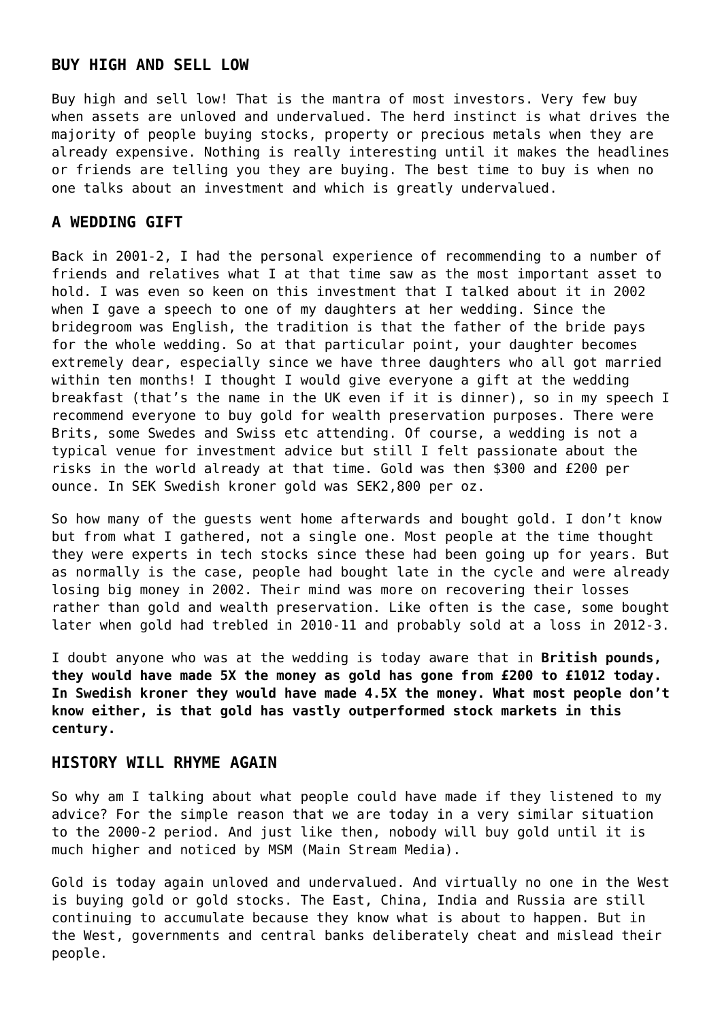#### **BUY HIGH AND SELL LOW**

Buy high and sell low! That is the mantra of most investors. Very few buy when assets are unloved and undervalued. The herd instinct is what drives the majority of people buying stocks, property or precious metals when they are already expensive. Nothing is really interesting until it makes the headlines or friends are telling you they are buying. The best time to buy is when no one talks about an investment and which is greatly undervalued.

#### **A WEDDING GIFT**

Back in 2001-2, I had the personal experience of recommending to a number of friends and relatives what I at that time saw as the most important asset to hold. I was even so keen on this investment that I talked about it in 2002 when I gave a speech to one of my daughters at her wedding. Since the bridegroom was English, the tradition is that the father of the bride pays for the whole wedding. So at that particular point, your daughter becomes extremely dear, especially since we have three daughters who all got married within ten months! I thought I would give everyone a gift at the wedding breakfast (that's the name in the UK even if it is dinner), so in my speech I recommend everyone to buy gold for wealth preservation purposes. There were Brits, some Swedes and Swiss etc attending. Of course, a wedding is not a typical venue for investment advice but still I felt passionate about the risks in the world already at that time. Gold was then \$300 and £200 per ounce. In SEK Swedish kroner gold was SEK2,800 per oz.

So how many of the guests went home afterwards and bought gold. I don't know but from what I gathered, not a single one. Most people at the time thought they were experts in tech stocks since these had been going up for years. But as normally is the case, people had bought late in the cycle and were already losing big money in 2002. Their mind was more on recovering their losses rather than gold and wealth preservation. Like often is the case, some bought later when gold had trebled in 2010-11 and probably sold at a loss in 2012-3.

I doubt anyone who was at the wedding is today aware that in **British pounds, they would have made 5X the money as gold has gone from £200 to £1012 today. In Swedish kroner they would have made 4.5X the money. What most people don't know either, is that gold has vastly outperformed stock markets in this century.**

## **HISTORY WILL RHYME AGAIN**

So why am I talking about what people could have made if they listened to my advice? For the simple reason that we are today in a very similar situation to the 2000-2 period. And just like then, nobody will buy gold until it is much higher and noticed by MSM (Main Stream Media).

Gold is today again unloved and undervalued. And virtually no one in the West is buying gold or gold stocks. The East, China, India and Russia are still continuing to accumulate because they know what is about to happen. But in the West, governments and central banks deliberately cheat and mislead their people.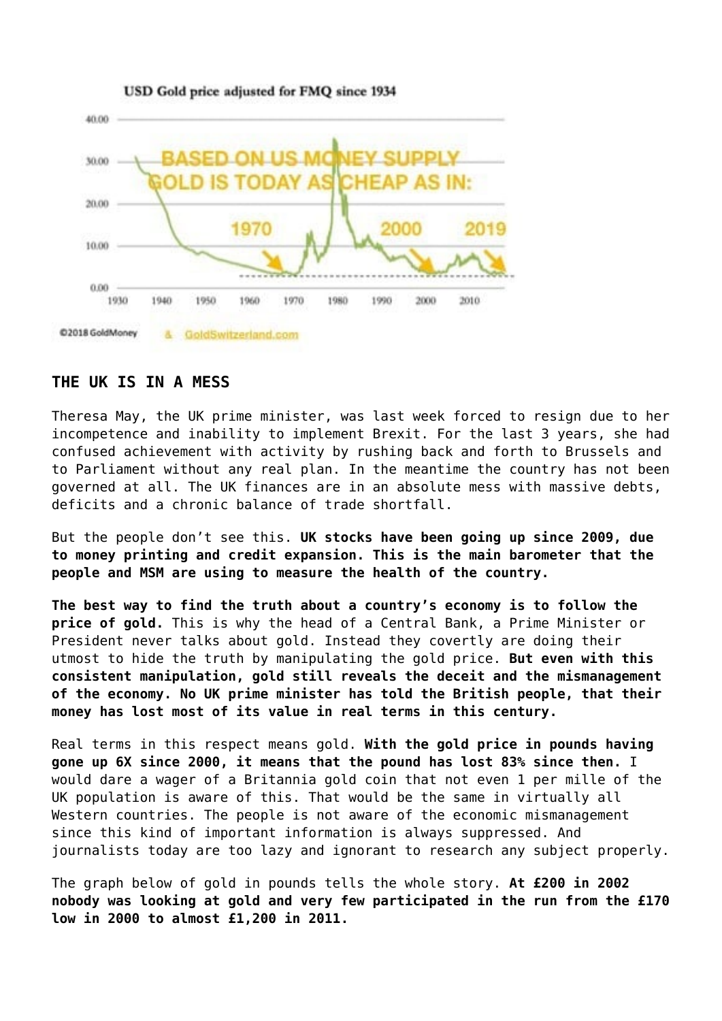

#### **THE UK IS IN A MESS**

Theresa May, the UK prime minister, was last week forced to resign due to her incompetence and inability to implement Brexit. For the last 3 years, she had confused achievement with activity by rushing back and forth to Brussels and to Parliament without any real plan. In the meantime the country has not been governed at all. The UK finances are in an absolute mess with massive debts, deficits and a chronic balance of trade shortfall.

But the people don't see this. **UK stocks have been going up since 2009, due to money printing and credit expansion. This is the main barometer that the people and MSM are using to measure the health of the country.**

**The best way to find the truth about a country's economy is to follow the price of gold.** This is why the head of a Central Bank, a Prime Minister or President never talks about gold. Instead they covertly are doing their utmost to hide the truth by manipulating the gold price. **But even with this consistent manipulation, gold still reveals the deceit and the mismanagement of the economy. No UK prime minister has told the British people, that their money has lost most of its value in real terms in this century.**

Real terms in this respect means gold. **With the gold price in pounds having gone up 6X since 2000, it means that the pound has lost 83% since then.** I would dare a wager of a Britannia gold coin that not even 1 per mille of the UK population is aware of this. That would be the same in virtually all Western countries. The people is not aware of the economic mismanagement since this kind of important information is always suppressed. And journalists today are too lazy and ignorant to research any subject properly.

The graph below of gold in pounds tells the whole story. **At £200 in 2002 nobody was looking at gold and very few participated in the run from the £170 low in 2000 to almost £1,200 in 2011.**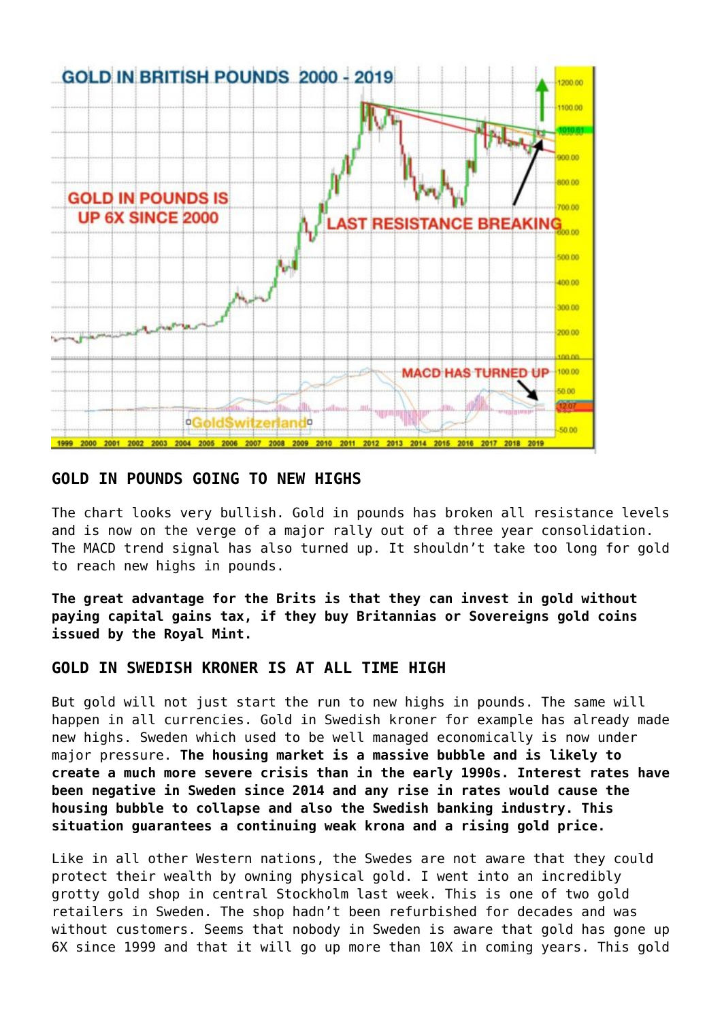

# **GOLD IN POUNDS GOING TO NEW HIGHS**

The chart looks very bullish. Gold in pounds has broken all resistance levels and is now on the verge of a major rally out of a three year consolidation. The MACD trend signal has also turned up. It shouldn't take too long for gold to reach new highs in pounds.

**The great advantage for the Brits is that they can invest in gold without paying capital gains tax, if they buy Britannias or Sovereigns gold coins issued by the Royal Mint.**

## **GOLD IN SWEDISH KRONER IS AT ALL TIME HIGH**

But gold will not just start the run to new highs in pounds. The same will happen in all currencies. Gold in Swedish kroner for example has already made new highs. Sweden which used to be well managed economically is now under major pressure. **The housing market is a massive bubble and is likely to create a much more severe crisis than in the early 1990s. Interest rates have been negative in Sweden since 2014 and any rise in rates would cause the housing bubble to collapse and also the Swedish banking industry. This situation guarantees a continuing weak krona and a rising gold price.**

Like in all other Western nations, the Swedes are not aware that they could protect their wealth by owning physical gold. I went into an incredibly grotty gold shop in central Stockholm last week. This is one of two gold retailers in Sweden. The shop hadn't been refurbished for decades and was without customers. Seems that nobody in Sweden is aware that gold has gone up 6X since 1999 and that it will go up more than 10X in coming years. This gold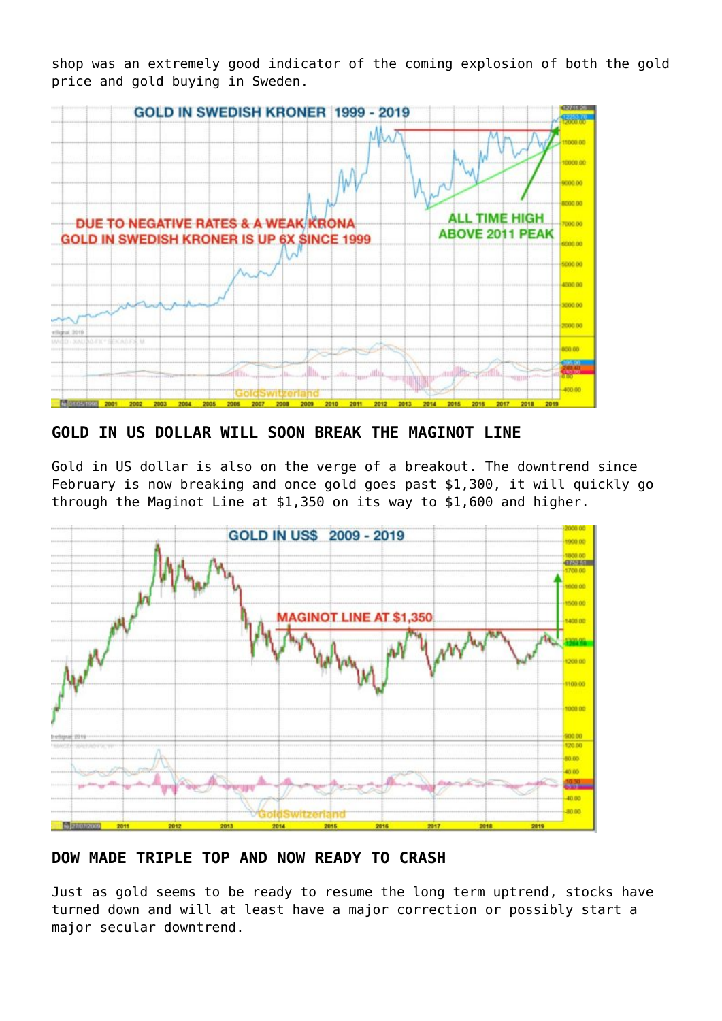shop was an extremely good indicator of the coming explosion of both the gold price and gold buying in Sweden.



**GOLD IN US DOLLAR WILL SOON BREAK THE MAGINOT LINE**

Gold in US dollar is also on the verge of a breakout. The downtrend since February is now breaking and once gold goes past \$1,300, it will quickly go through the Maginot Line at \$1,350 on its way to \$1,600 and higher.



**DOW MADE TRIPLE TOP AND NOW READY TO CRASH**

Just as gold seems to be ready to resume the long term uptrend, stocks have turned down and will at least have a major correction or possibly start a major secular downtrend.